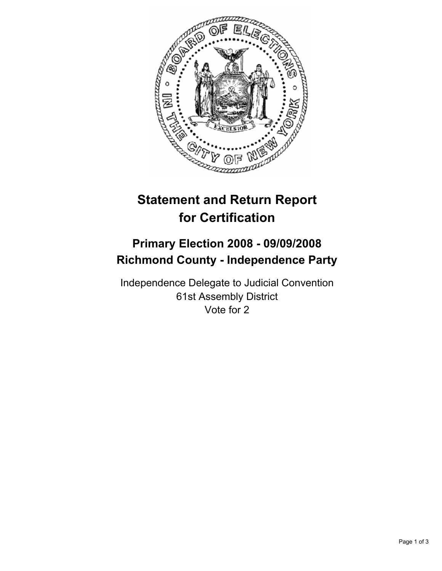

# **Statement and Return Report for Certification**

## **Primary Election 2008 - 09/09/2008 Richmond County - Independence Party**

Independence Delegate to Judicial Convention 61st Assembly District Vote for 2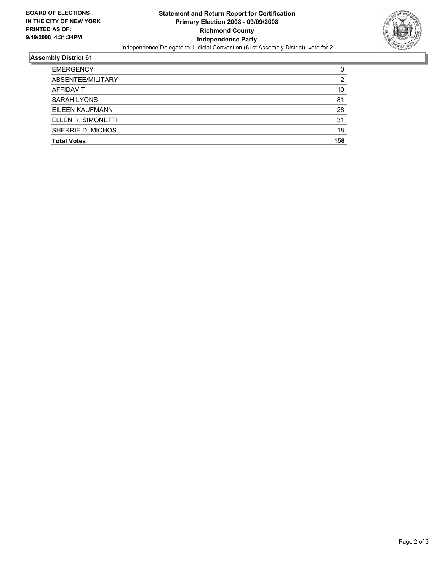

### **Assembly District 61**

| <b>EMERGENCY</b>   |     |
|--------------------|-----|
| ABSENTEE/MILITARY  |     |
| AFFIDAVIT          | 10  |
| <b>SARAH LYONS</b> | 81  |
| EILEEN KAUFMANN    | 28  |
| ELLEN R. SIMONETTI | 31  |
| SHERRIE D. MICHOS  | 18  |
| <b>Total Votes</b> | 158 |